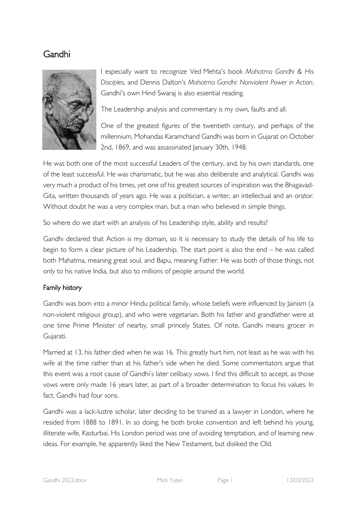# Gandhi



I especially want to recognize Ved Mehta's book *Mahatma Gandhi & His Disciples*, and Dennis Dalton's *Mahatma Gandhi: Nonviolent Power in Action*. Gandhi's own Hind Swaraj is also essential reading.

The Leadership analysis and commentary is my own, faults and all.

One of the greatest figures of the twentieth century, and perhaps of the millennium, Mohandas Karamchand Gandhi was born in Gujarat on October 2nd, 1869, and was assassinated January 30th, 1948.

He was both one of the most successful Leaders of the century, and, by his own standards, one of the least successful. He was charismatic, but he was also deliberate and analytical. Gandhi was very much a product of his times, yet one of his greatest sources of inspiration was the Bhagavad-Gita, written thousands of years ago. He was a politician, a writer, an intellectual and an orator. Without doubt he was a very complex man, but a man who believed in simple things.

So where do we start with an analysis of his Leadership style, ability and results?

Gandhi declared that Action is my domain, so it is necessary to study the details of his life to begin to form a clear picture of his Leadership. The start point is also the end – he was called both Mahatma, meaning great soul, and Bapu, meaning Father. He was both of those things, not only to his native India, but also to millions of people around the world.

## Family history

Gandhi was born into a minor Hindu political family, whose beliefs were influenced by Jainism (a non-violent religious group), and who were vegetarian. Both his father and grandfather were at one time Prime Minister of nearby, small princely States. Of note, Gandhi means grocer in Gujarati.

Married at 13, his father died when he was 16. This greatly hurt him, not least as he was with his wife at the time rather than at his father's side when he died. Some commentators argue that this event was a root cause of Gandhi's later celibacy vows. I find this difficult to accept, as those vows were only made 16 years later, as part of a broader determination to focus his values. In fact, Gandhi had four sons.

Gandhi was a lack-lustre scholar, later deciding to be trained as a lawyer in London, where he resided from 1888 to 1891. In so doing, he both broke convention and left behind his young, illiterate wife, Kasturbai. His London period was one of avoiding temptation, and of learning new ideas. For example, he apparently liked the New Testament, but disliked the Old.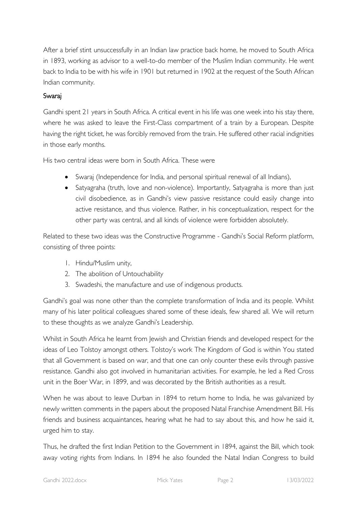After a brief stint unsuccessfully in an Indian law practice back home, he moved to South Africa in 1893, working as advisor to a well-to-do member of the Muslim Indian community. He went back to India to be with his wife in 1901 but returned in 1902 at the request of the South African Indian community.

# Swaraj

Gandhi spent 21 years in South Africa. A critical event in his life was one week into his stay there, where he was asked to leave the First-Class compartment of a train by a European. Despite having the right ticket, he was forcibly removed from the train. He suffered other racial indignities in those early months.

His two central ideas were born in South Africa. These were

- Swaraj (Independence for India, and personal spiritual renewal of all Indians),
- Satyagraha (truth, love and non-violence). Importantly, Satyagraha is more than just civil disobedience, as in Gandhi's view passive resistance could easily change into active resistance, and thus violence. Rather, in his conceptualization, respect for the other party was central, and all kinds of violence were forbidden absolutely.

Related to these two ideas was the Constructive Programme - Gandhi's Social Reform platform, consisting of three points:

- 1. Hindu/Muslim unity,
- 2. The abolition of Untouchability
- 3. Swadeshi, the manufacture and use of indigenous products.

Gandhi's goal was none other than the complete transformation of India and its people. Whilst many of his later political colleagues shared some of these ideals, few shared all. We will return to these thoughts as we analyze Gandhi's Leadership.

Whilst in South Africa he learnt from Jewish and Christian friends and developed respect for the ideas of Leo Tolstoy amongst others. Tolstoy's work The Kingdom of God is within You stated that all Government is based on war, and that one can only counter these evils through passive resistance. Gandhi also got involved in humanitarian activities. For example, he led a Red Cross unit in the Boer War, in 1899, and was decorated by the British authorities as a result.

When he was about to leave Durban in 1894 to return home to India, he was galvanized by newly written comments in the papers about the proposed Natal Franchise Amendment Bill. His friends and business acquaintances, hearing what he had to say about this, and how he said it, urged him to stay.

Thus, he drafted the first Indian Petition to the Government in 1894, against the Bill, which took away voting rights from Indians. In 1894 he also founded the Natal Indian Congress to build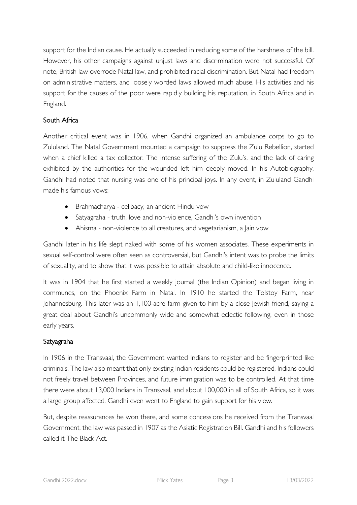support for the Indian cause. He actually succeeded in reducing some of the harshness of the bill. However, his other campaigns against unjust laws and discrimination were not successful. Of note, British law overrode Natal law, and prohibited racial discrimination. But Natal had freedom on administrative matters, and loosely worded laws allowed much abuse. His activities and his support for the causes of the poor were rapidly building his reputation, in South Africa and in England.

# South Africa

Another critical event was in 1906, when Gandhi organized an ambulance corps to go to Zululand. The Natal Government mounted a campaign to suppress the Zulu Rebellion, started when a chief killed a tax collector. The intense suffering of the Zulu's, and the lack of caring exhibited by the authorities for the wounded left him deeply moved. In his Autobiography, Gandhi had noted that nursing was one of his principal joys. In any event, in Zululand Gandhi made his famous vows:

- Brahmacharya celibacy, an ancient Hindu vow
- Satyagraha truth, love and non-violence, Gandhi's own invention
- Ahisma non-violence to all creatures, and vegetarianism, a Jain vow

Gandhi later in his life slept naked with some of his women associates. These experiments in sexual self-control were often seen as controversial, but Gandhi's intent was to probe the limits of sexuality, and to show that it was possible to attain absolute and child-like innocence.

It was in 1904 that he first started a weekly journal (the Indian Opinion) and began living in communes, on the Phoenix Farm in Natal. In 1910 he started the Tolstoy Farm, near Johannesburg. This later was an 1,100-acre farm given to him by a close Jewish friend, saying a great deal about Gandhi's uncommonly wide and somewhat eclectic following, even in those early years.

## Satyagraha

In 1906 in the Transvaal, the Government wanted Indians to register and be fingerprinted like criminals. The law also meant that only existing Indian residents could be registered, Indians could not freely travel between Provinces, and future immigration was to be controlled. At that time there were about 13,000 Indians in Transvaal, and about 100,000 in all of South Africa, so it was a large group affected. Gandhi even went to England to gain support for his view.

But, despite reassurances he won there, and some concessions he received from the Transvaal Government, the law was passed in 1907 as the Asiatic Registration Bill. Gandhi and his followers called it The Black Act.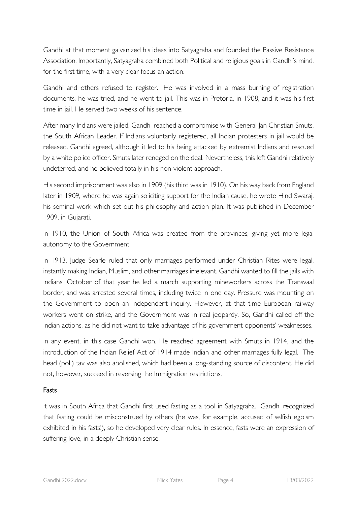Gandhi at that moment galvanized his ideas into Satyagraha and founded the Passive Resistance Association. Importantly, Satyagraha combined both Political and religious goals in Gandhi's mind, for the first time, with a very clear focus an action.

Gandhi and others refused to register. He was involved in a mass burning of registration documents, he was tried, and he went to jail. This was in Pretoria, in 1908, and it was his first time in jail. He served two weeks of his sentence.

After many Indians were jailed, Gandhi reached a compromise with General Jan Christian Smuts, the South African Leader. If Indians voluntarily registered, all Indian protesters in jail would be released. Gandhi agreed, although it led to his being attacked by extremist Indians and rescued by a white police officer. Smuts later reneged on the deal. Nevertheless, this left Gandhi relatively undeterred, and he believed totally in his non-violent approach.

His second imprisonment was also in 1909 (his third was in 1910). On his way back from England later in 1909, where he was again soliciting support for the Indian cause, he wrote Hind Swaraj, his seminal work which set out his philosophy and action plan. It was published in December 1909, in Gujarati.

In 1910, the Union of South Africa was created from the provinces, giving yet more legal autonomy to the Government.

In 1913, Judge Searle ruled that only marriages performed under Christian Rites were legal, instantly making Indian, Muslim, and other marriages irrelevant. Gandhi wanted to fill the jails with Indians. October of that year he led a march supporting mineworkers across the Transvaal border, and was arrested several times, including twice in one day. Pressure was mounting on the Government to open an independent inquiry. However, at that time European railway workers went on strike, and the Government was in real jeopardy. So, Gandhi called off the Indian actions, as he did not want to take advantage of his government opponents' weaknesses.

In any event, in this case Gandhi won. He reached agreement with Smuts in 1914, and the introduction of the Indian Relief Act of 1914 made Indian and other marriages fully legal. The head (poll) tax was also abolished, which had been a long-standing source of discontent. He did not, however, succeed in reversing the Immigration restrictions.

## Fasts

It was in South Africa that Gandhi first used fasting as a tool in Satyagraha. Gandhi recognized that fasting could be misconstrued by others (he was, for example, accused of selfish egoism exhibited in his fasts!), so he developed very clear rules. In essence, fasts were an expression of suffering love, in a deeply Christian sense.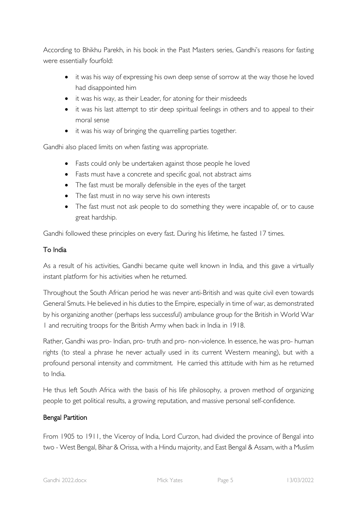According to Bhikhu Parekh, in his book in the Past Masters series, Gandhi's reasons for fasting were essentially fourfold:

- it was his way of expressing his own deep sense of sorrow at the way those he loved had disappointed him
- it was his way, as their Leader, for atoning for their misdeeds
- it was his last attempt to stir deep spiritual feelings in others and to appeal to their moral sense
- it was his way of bringing the quarrelling parties together.

Gandhi also placed limits on when fasting was appropriate.

- Fasts could only be undertaken against those people he loved
- Fasts must have a concrete and specific goal, not abstract aims
- The fast must be morally defensible in the eyes of the target
- The fast must in no way serve his own interests
- The fast must not ask people to do something they were incapable of, or to cause great hardship.

Gandhi followed these principles on every fast. During his lifetime, he fasted 17 times.

# To India

As a result of his activities, Gandhi became quite well known in India, and this gave a virtually instant platform for his activities when he returned.

Throughout the South African period he was never anti-British and was quite civil even towards General Smuts. He believed in his duties to the Empire, especially in time of war, as demonstrated by his organizing another (perhaps less successful) ambulance group for the British in World War 1 and recruiting troops for the British Army when back in India in 1918.

Rather, Gandhi was pro- Indian, pro- truth and pro- non-violence. In essence, he was pro- human rights (to steal a phrase he never actually used in its current Western meaning), but with a profound personal intensity and commitment. He carried this attitude with him as he returned to India.

He thus left South Africa with the basis of his life philosophy, a proven method of organizing people to get political results, a growing reputation, and massive personal self-confidence.

# Bengal Partition

From 1905 to 1911, the Viceroy of India, Lord Curzon, had divided the province of Bengal into two - West Bengal, Bihar & Orissa, with a Hindu majority, and East Bengal & Assam, with a Muslim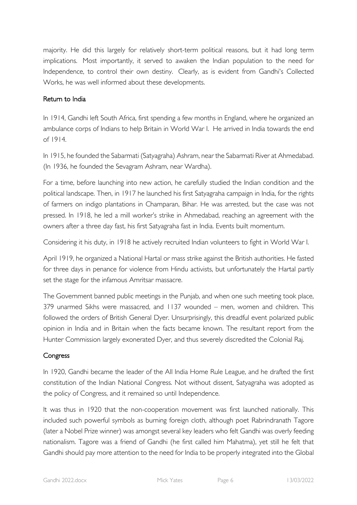majority. He did this largely for relatively short-term political reasons, but it had long term implications. Most importantly, it served to awaken the Indian population to the need for Independence, to control their own destiny. Clearly, as is evident from Gandhi's Collected Works, he was well informed about these developments.

## Return to India

In 1914, Gandhi left South Africa, first spending a few months in England, where he organized an ambulance corps of Indians to help Britain in World War I. He arrived in India towards the end of 1914.

In 1915, he founded the Sabarmati (Satyagraha) Ashram, near the Sabarmati River at Ahmedabad. (In 1936, he founded the Sevagram Ashram, near Wardha).

For a time, before launching into new action, he carefully studied the Indian condition and the political landscape. Then, in 1917 he launched his first Satyagraha campaign in India, for the rights of farmers on indigo plantations in Champaran, Bihar. He was arrested, but the case was not pressed. In 1918, he led a mill worker's strike in Ahmedabad, reaching an agreement with the owners after a three day fast, his first Satyagraha fast in India. Events built momentum.

Considering it his duty, in 1918 he actively recruited Indian volunteers to fight in World War I.

April 1919, he organized a National Hartal or mass strike against the British authorities. He fasted for three days in penance for violence from Hindu activists, but unfortunately the Hartal partly set the stage for the infamous Amritsar massacre.

The Government banned public meetings in the Punjab, and when one such meeting took place, 379 unarmed Sikhs were massacred, and 1137 wounded – men, women and children. This followed the orders of British General Dyer. Unsurprisingly, this dreadful event polarized public opinion in India and in Britain when the facts became known. The resultant report from the Hunter Commission largely exonerated Dyer, and thus severely discredited the Colonial Raj.

## **Congress**

In 1920, Gandhi became the leader of the All India Home Rule League, and he drafted the first constitution of the Indian National Congress. Not without dissent, Satyagraha was adopted as the policy of Congress, and it remained so until Independence.

It was thus in 1920 that the non-cooperation movement was first launched nationally. This included such powerful symbols as burning foreign cloth, although poet Rabrindranath Tagore (later a Nobel Prize winner) was amongst several key leaders who felt Gandhi was overly feeding nationalism. Tagore was a friend of Gandhi (he first called him Mahatma), yet still he felt that Gandhi should pay more attention to the need for India to be properly integrated into the Global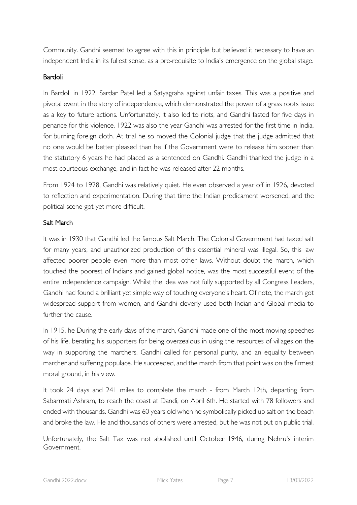Community. Gandhi seemed to agree with this in principle but believed it necessary to have an independent India in its fullest sense, as a pre-requisite to India's emergence on the global stage.

#### Bardoli

In Bardoli in 1922, Sardar Patel led a Satyagraha against unfair taxes. This was a positive and pivotal event in the story of independence, which demonstrated the power of a grass roots issue as a key to future actions. Unfortunately, it also led to riots, and Gandhi fasted for five days in penance for this violence. 1922 was also the year Gandhi was arrested for the first time in India, for burning foreign cloth. At trial he so moved the Colonial judge that the judge admitted that no one would be better pleased than he if the Government were to release him sooner than the statutory 6 years he had placed as a sentenced on Gandhi. Gandhi thanked the judge in a most courteous exchange, and in fact he was released after 22 months.

From 1924 to 1928, Gandhi was relatively quiet. He even observed a year off in 1926, devoted to reflection and experimentation. During that time the Indian predicament worsened, and the political scene got yet more difficult.

## Salt March

It was in 1930 that Gandhi led the famous Salt March. The Colonial Government had taxed salt for many years, and unauthorized production of this essential mineral was illegal. So, this law affected poorer people even more than most other laws. Without doubt the march, which touched the poorest of Indians and gained global notice, was the most successful event of the entire independence campaign. Whilst the idea was not fully supported by all Congress Leaders, Gandhi had found a brilliant yet simple way of touching everyone's heart. Of note, the march got widespread support from women, and Gandhi cleverly used both Indian and Global media to further the cause.

In 1915, he During the early days of the march, Gandhi made one of the most moving speeches of his life, berating his supporters for being overzealous in using the resources of villages on the way in supporting the marchers. Gandhi called for personal purity, and an equality between marcher and suffering populace. He succeeded, and the march from that point was on the firmest moral ground, in his view.

It took 24 days and 241 miles to complete the march - from March 12th, departing from Sabarmati Ashram, to reach the coast at Dandi, on April 6th. He started with 78 followers and ended with thousands. Gandhi was 60 years old when he symbolically picked up salt on the beach and broke the law. He and thousands of others were arrested, but he was not put on public trial.

Unfortunately, the Salt Tax was not abolished until October 1946, during Nehru's interim Government.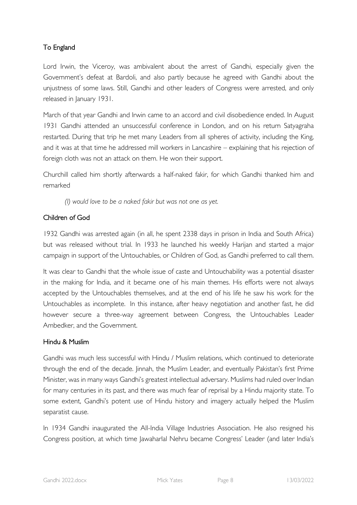# To England

Lord Irwin, the Viceroy, was ambivalent about the arrest of Gandhi, especially given the Government's defeat at Bardoli, and also partly because he agreed with Gandhi about the unjustness of some laws. Still, Gandhi and other leaders of Congress were arrested, and only released in January 1931.

March of that year Gandhi and Irwin came to an accord and civil disobedience ended. In August 1931 Gandhi attended an unsuccessful conference in London, and on his return Satyagraha restarted. During that trip he met many Leaders from all spheres of activity, including the King, and it was at that time he addressed mill workers in Lancashire – explaining that his rejection of foreign cloth was not an attack on them. He won their support.

Churchill called him shortly afterwards a half-naked fakir, for which Gandhi thanked him and remarked

*(I) would love to be a naked fakir but was not one as yet.*

# Children of God

1932 Gandhi was arrested again (in all, he spent 2338 days in prison in India and South Africa) but was released without trial. In 1933 he launched his weekly Harijan and started a major campaign in support of the Untouchables, or Children of God, as Gandhi preferred to call them.

It was clear to Gandhi that the whole issue of caste and Untouchability was a potential disaster in the making for India, and it became one of his main themes. His efforts were not always accepted by the Untouchables themselves, and at the end of his life he saw his work for the Untouchables as incomplete. In this instance, after heavy negotiation and another fast, he did however secure a three-way agreement between Congress, the Untouchables Leader Ambedker, and the Government.

# Hindu & Muslim

Gandhi was much less successful with Hindu / Muslim relations, which continued to deteriorate through the end of the decade. Jinnah, the Muslim Leader, and eventually Pakistan's first Prime Minister, was in many ways Gandhi's greatest intellectual adversary. Muslims had ruled over Indian for many centuries in its past, and there was much fear of reprisal by a Hindu majority state. To some extent, Gandhi's potent use of Hindu history and imagery actually helped the Muslim separatist cause.

In 1934 Gandhi inaugurated the All-India Village Industries Association. He also resigned his Congress position, at which time Jawaharlal Nehru became Congress' Leader (and later India's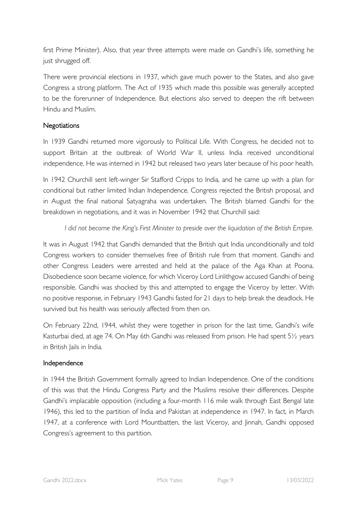first Prime Minister). Also, that year three attempts were made on Gandhi's life, something he just shrugged off.

There were provincial elections in 1937, which gave much power to the States, and also gave Congress a strong platform. The Act of 1935 which made this possible was generally accepted to be the forerunner of Independence. But elections also served to deepen the rift between Hindu and Muslim.

# **Negotiations**

In 1939 Gandhi returned more vigorously to Political Life. With Congress, he decided not to support Britain at the outbreak of World War II, unless India received unconditional independence. He was interned in 1942 but released two years later because of his poor health.

In 1942 Churchill sent left-winger Sir Stafford Cripps to India, and he came up with a plan for conditional but rather limited Indian Independence. Congress rejected the British proposal, and in August the final national Satyagraha was undertaken. The British blamed Gandhi for the breakdown in negotiations, and it was in November 1942 that Churchill said:

## *I did not become the King's First Minister to preside over the liquidation of the British Empire.*

It was in August 1942 that Gandhi demanded that the British quit India unconditionally and told Congress workers to consider themselves free of British rule from that moment. Gandhi and other Congress Leaders were arrested and held at the palace of the Aga Khan at Poona. Disobedience soon became violence, for which Viceroy Lord Linlithgow accused Gandhi of being responsible. Gandhi was shocked by this and attempted to engage the Viceroy by letter. With no positive response, in February 1943 Gandhi fasted for 21 days to help break the deadlock. He survived but his health was seriously affected from then on.

On February 22nd, 1944, whilst they were together in prison for the last time, Gandhi's wife Kasturbai died, at age 74. On May 6th Gandhi was released from prison. He had spent 5½ years in British Jails in India.

## Independence

In 1944 the British Government formally agreed to Indian Independence. One of the conditions of this was that the Hindu Congress Party and the Muslims resolve their differences. Despite Gandhi's implacable opposition (including a four-month 116 mile walk through East Bengal late 1946), this led to the partition of India and Pakistan at independence in 1947. In fact, in March 1947, at a conference with Lord Mountbatten, the last Viceroy, and Jinnah, Gandhi opposed Congress's agreement to this partition.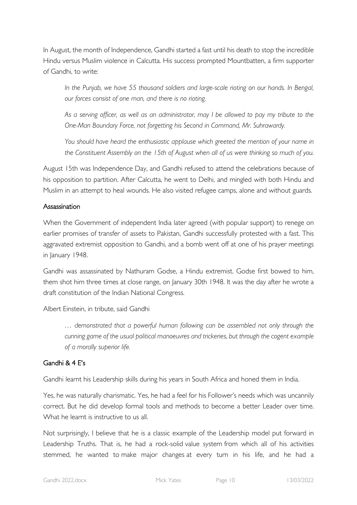In August, the month of Independence, Gandhi started a fast until his death to stop the incredible Hindu versus Muslim violence in Calcutta. His success prompted Mountbatten, a firm supporter of Gandhi, to write:

*In the Punjab, we have 55 thousand soldiers and large-scale rioting on our hands. In Bengal, our forces consist of one man, and there is no rioting.*

*As a serving officer, as well as an administrator, may I be allowed to pay my tribute to the One-Man Boundary Force, not forgetting his Second in Command, Mr. Suhrawardy.*

*You should have heard the enthusiastic applause which greeted the mention of your name in the Constituent Assembly on the 15th of August when all of us were thinking so much of you.*

August 15th was Independence Day, and Gandhi refused to attend the celebrations because of his opposition to partition. After Calcutta, he went to Delhi, and mingled with both Hindu and Muslim in an attempt to heal wounds. He also visited refugee camps, alone and without guards.

## Assassination

When the Government of independent India later agreed (with popular support) to renege on earlier promises of transfer of assets to Pakistan, Gandhi successfully protested with a fast. This aggravated extremist opposition to Gandhi, and a bomb went off at one of his prayer meetings in January 1948.

Gandhi was assassinated by Nathuram Godse, a Hindu extremist. Godse first bowed to him, them shot him three times at close range, on January 30th 1948. It was the day after he wrote a draft constitution of the Indian National Congress.

Albert Einstein, in tribute, said Gandhi

*… demonstrated that a powerful human following can be assembled not only through the cunning game of the usual political manoeuvres and trickeries, but through the cogent example of a morally superior life.*

## Gandhi & 4 E's

Gandhi learnt his Leadership skills during his years in South Africa and honed them in India.

Yes, he was naturally charismatic. Yes, he had a feel for his Follower's needs which was uncannily correct. But he did develop formal tools and methods to become a better Leader over time. What he learnt is instructive to us all.

Not surprisingly, I believe that he is a classic example of the Leadership model put forward in Leadership Truths. That is, he had a rock-solid value system from which all of his activities stemmed, he wanted to make major changes at every turn in his life, and he had a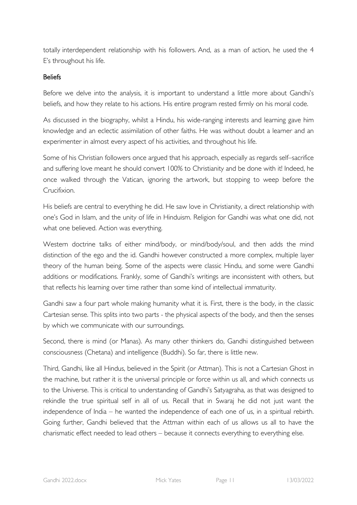totally interdependent relationship with his followers. And, as a man of action, he used the 4 E's throughout his life.

## **Beliefs**

Before we delve into the analysis, it is important to understand a little more about Gandhi's beliefs, and how they relate to his actions. His entire program rested firmly on his moral code.

As discussed in the biography, whilst a Hindu, his wide-ranging interests and learning gave him knowledge and an eclectic assimilation of other faiths. He was without doubt a learner and an experimenter in almost every aspect of his activities, and throughout his life.

Some of his Christian followers once argued that his approach, especially as regards self–sacrifice and suffering love meant he should convert 100% to Christianity and be done with it! Indeed, he once walked through the Vatican, ignoring the artwork, but stopping to weep before the Crucifixion.

His beliefs are central to everything he did. He saw love in Christianity, a direct relationship with one's God in Islam, and the unity of life in Hinduism. Religion for Gandhi was what one did, not what one believed. Action was everything.

Western doctrine talks of either mind/body, or mind/body/soul, and then adds the mind distinction of the ego and the id. Gandhi however constructed a more complex, multiple layer theory of the human being. Some of the aspects were classic Hindu, and some were Gandhi additions or modifications. Frankly, some of Gandhi's writings are inconsistent with others, but that reflects his learning over time rather than some kind of intellectual immaturity.

Gandhi saw a four part whole making humanity what it is. First, there is the body, in the classic Cartesian sense. This splits into two parts - the physical aspects of the body, and then the senses by which we communicate with our surroundings.

Second, there is mind (or Manas). As many other thinkers do, Gandhi distinguished between consciousness (Chetana) and intelligence (Buddhi). So far, there is little new.

Third, Gandhi, like all Hindus, believed in the Spirit (or Attman). This is not a Cartesian Ghost in the machine, but rather it is the universal principle or force within us all, and which connects us to the Universe. This is critical to understanding of Gandhi's Satyagraha, as that was designed to rekindle the true spiritual self in all of us. Recall that in Swaraj he did not just want the independence of India – he wanted the independence of each one of us, in a spiritual rebirth. Going further, Gandhi believed that the Attman within each of us allows us all to have the charismatic effect needed to lead others – because it connects everything to everything else.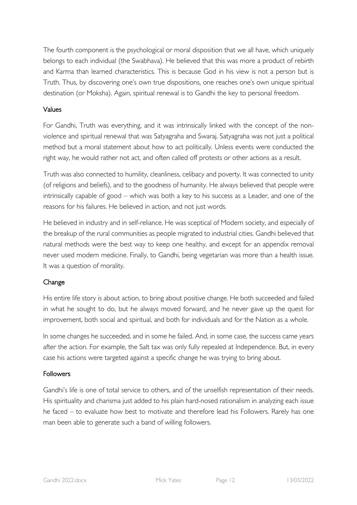The fourth component is the psychological or moral disposition that we all have, which uniquely belongs to each individual (the Swabhava). He believed that this was more a product of rebirth and Karma than learned characteristics. This is because God in his view is not a person but is Truth. Thus, by discovering one's own true dispositions, one reaches one's own unique spiritual destination (or Moksha). Again, spiritual renewal is to Gandhi the key to personal freedom.

## Values

For Gandhi, Truth was everything, and it was intrinsically linked with the concept of the nonviolence and spiritual renewal that was Satyagraha and Swaraj. Satyagraha was not just a political method but a moral statement about how to act politically. Unless events were conducted the right way, he would rather not act, and often called off protests or other actions as a result.

Truth was also connected to humility, cleanliness, celibacy and poverty. It was connected to unity (of religions and beliefs), and to the goodness of humanity. He always believed that people were intrinsically capable of good – which was both a key to his success as a Leader, and one of the reasons for his failures. He believed in action, and not just words.

He believed in industry and in self-reliance. He was sceptical of Modern society, and especially of the breakup of the rural communities as people migrated to industrial cities. Gandhi believed that natural methods were the best way to keep one healthy, and except for an appendix removal never used modern medicine. Finally, to Gandhi, being vegetarian was more than a health issue. It was a question of morality.

# Change

His entire life story is about action, to bring about positive change. He both succeeded and failed in what he sought to do, but he always moved forward, and he never gave up the quest for improvement, both social and spiritual, and both for individuals and for the Nation as a whole.

In some changes he succeeded, and in some he failed. And, in some case, the success came years after the action. For example, the Salt tax was only fully repealed at Independence. But, in every case his actions were targeted against a specific change he was trying to bring about.

## **Followers**

Gandhi's life is one of total service to others, and of the unselfish representation of their needs. His spirituality and charisma just added to his plain hard-nosed rationalism in analyzing each issue he faced – to evaluate how best to motivate and therefore lead his Followers. Rarely has one man been able to generate such a band of willing followers.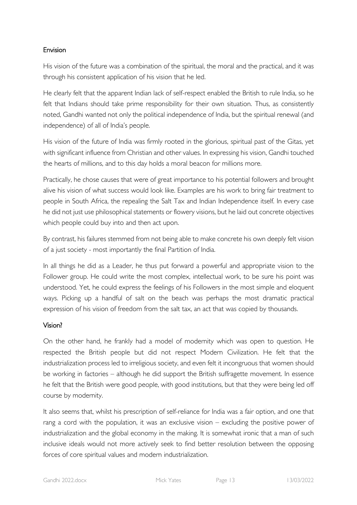## Envision

His vision of the future was a combination of the spiritual, the moral and the practical, and it was through his consistent application of his vision that he led.

He clearly felt that the apparent Indian lack of self-respect enabled the British to rule India, so he felt that Indians should take prime responsibility for their own situation. Thus, as consistently noted, Gandhi wanted not only the political independence of India, but the spiritual renewal (and independence) of all of India's people.

His vision of the future of India was firmly rooted in the glorious, spiritual past of the Gitas, yet with significant influence from Christian and other values. In expressing his vision, Gandhi touched the hearts of millions, and to this day holds a moral beacon for millions more.

Practically, he chose causes that were of great importance to his potential followers and brought alive his vision of what success would look like. Examples are his work to bring fair treatment to people in South Africa, the repealing the Salt Tax and Indian Independence itself. In every case he did not just use philosophical statements or flowery visions, but he laid out concrete objectives which people could buy into and then act upon.

By contrast, his failures stemmed from not being able to make concrete his own deeply felt vision of a just society - most importantly the final Partition of India.

In all things he did as a Leader, he thus put forward a powerful and appropriate vision to the Follower group. He could write the most complex, intellectual work, to be sure his point was understood. Yet, he could express the feelings of his Followers in the most simple and eloquent ways. Picking up a handful of salt on the beach was perhaps the most dramatic practical expression of his vision of freedom from the salt tax, an act that was copied by thousands.

# Vision?

On the other hand, he frankly had a model of modernity which was open to question. He respected the British people but did not respect Modern Civilization. He felt that the industrialization process led to irreligious society, and even felt it incongruous that women should be working in factories – although he did support the British suffragette movement. In essence he felt that the British were good people, with good institutions, but that they were being led off course by modernity.

It also seems that, whilst his prescription of self-reliance for India was a fair option, and one that rang a cord with the population, it was an exclusive vision – excluding the positive power of industrialization and the global economy in the making. It is somewhat ironic that a man of such inclusive ideals would not more actively seek to find better resolution between the opposing forces of core spiritual values and modern industrialization.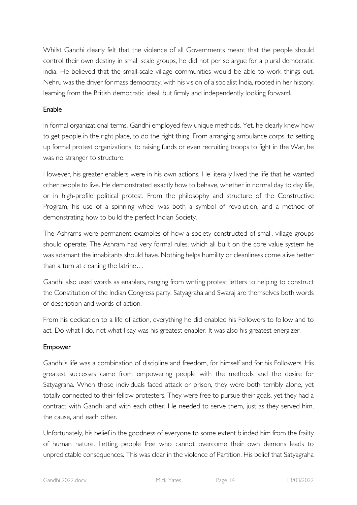Whilst Gandhi clearly felt that the violence of all Governments meant that the people should control their own destiny in small scale groups, he did not per se argue for a plural democratic India. He believed that the small-scale village communities would be able to work things out. Nehru was the driver for mass democracy, with his vision of a socialist India, rooted in her history, learning from the British democratic ideal, but firmly and independently looking forward.

## Enable

In formal organizational terms, Gandhi employed few unique methods. Yet, he clearly knew how to get people in the right place, to do the right thing. From arranging ambulance corps, to setting up formal protest organizations, to raising funds or even recruiting troops to fight in the War, he was no stranger to structure.

However, his greater enablers were in his own actions. He literally lived the life that he wanted other people to live. He demonstrated exactly how to behave, whether in normal day to day life, or in high-profile political protest. From the philosophy and structure of the Constructive Program, his use of a spinning wheel was both a symbol of revolution, and a method of demonstrating how to build the perfect Indian Society.

The Ashrams were permanent examples of how a society constructed of small, village groups should operate. The Ashram had very formal rules, which all built on the core value system he was adamant the inhabitants should have. Nothing helps humility or cleanliness come alive better than a turn at cleaning the latrine…

Gandhi also used words as enablers, ranging from writing protest letters to helping to construct the Constitution of the Indian Congress party. Satyagraha and Swaraj are themselves both words of description and words of action.

From his dedication to a life of action, everything he did enabled his Followers to follow and to act. Do what I do, not what I say was his greatest enabler. It was also his greatest energizer.

# Empower

Gandhi's life was a combination of discipline and freedom, for himself and for his Followers. His greatest successes came from empowering people with the methods and the desire for Satyagraha. When those individuals faced attack or prison, they were both terribly alone, yet totally connected to their fellow protesters. They were free to pursue their goals, yet they had a contract with Gandhi and with each other. He needed to serve them, just as they served him, the cause, and each other.

Unfortunately, his belief in the goodness of everyone to some extent blinded him from the frailty of human nature. Letting people free who cannot overcome their own demons leads to unpredictable consequences. This was clear in the violence of Partition. His belief that Satyagraha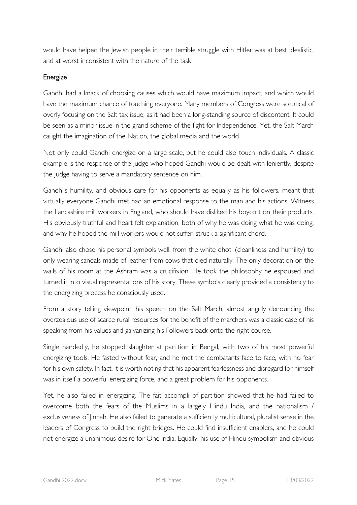would have helped the Jewish people in their terrible struggle with Hitler was at best idealistic, and at worst inconsistent with the nature of the task

## Energize

Gandhi had a knack of choosing causes which would have maximum impact, and which would have the maximum chance of touching everyone. Many members of Congress were sceptical of overly focusing on the Salt tax issue, as it had been a long-standing source of discontent. It could be seen as a minor issue in the grand scheme of the fight for Independence. Yet, the Salt March caught the imagination of the Nation, the global media and the world.

Not only could Gandhi energize on a large scale, but he could also touch individuals. A classic example is the response of the Judge who hoped Gandhi would be dealt with leniently, despite the Judge having to serve a mandatory sentence on him.

Gandhi's humility, and obvious care for his opponents as equally as his followers, meant that virtually everyone Gandhi met had an emotional response to the man and his actions. Witness the Lancashire mill workers in England, who should have disliked his boycott on their products. His obviously truthful and heart felt explanation, both of why he was doing what he was doing, and why he hoped the mill workers would not suffer, struck a significant chord.

Gandhi also chose his personal symbols well, from the white dhoti (cleanliness and humility) to only wearing sandals made of leather from cows that died naturally. The only decoration on the walls of his room at the Ashram was a crucifixion. He took the philosophy he espoused and turned it into visual representations of his story. These symbols clearly provided a consistency to the energizing process he consciously used.

From a story telling viewpoint, his speech on the Salt March, almost angrily denouncing the overzealous use of scarce rural resources for the benefit of the marchers was a classic case of his speaking from his values and galvanizing his Followers back onto the right course.

Single handedly, he stopped slaughter at partition in Bengal, with two of his most powerful energizing tools. He fasted without fear, and he met the combatants face to face, with no fear for his own safety. In fact, it is worth noting that his apparent fearlessness and disregard for himself was in itself a powerful energizing force, and a great problem for his opponents.

Yet, he also failed in energizing. The fait accompli of partition showed that he had failed to overcome both the fears of the Muslims in a largely Hindu India, and the nationalism / exclusiveness of linnah. He also failed to generate a sufficiently multicultural, pluralist sense in the leaders of Congress to build the right bridges. He could find insufficient enablers, and he could not energize a unanimous desire for One India. Equally, his use of Hindu symbolism and obvious